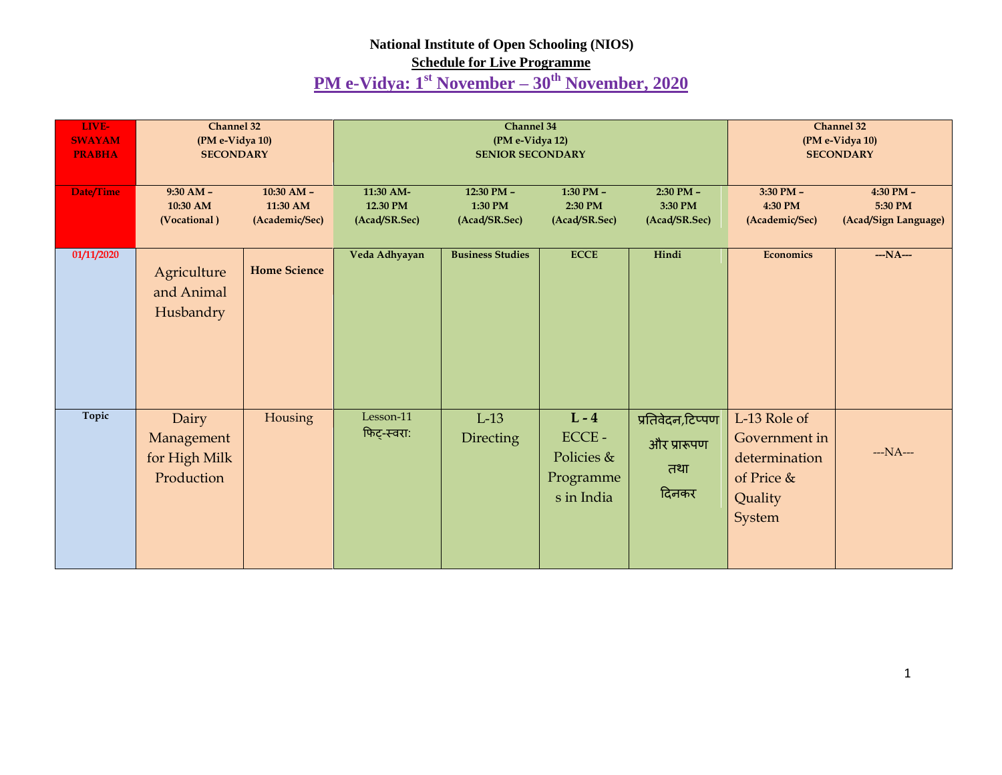## **National Institute of Open Schooling (NIOS)**

## **Schedule for Live Programme**

## **PM e-Vidya: 1st November – 30th November, 2020**

| LIVE-<br><b>SWAYAM</b><br><b>PRABHA</b> | Channel 32<br>(PM e-Vidya 10)<br><b>SECONDARY</b>  |                          |                          | Channel 34<br>(PM e-Vidya 12)<br><b>SENIOR SECONDARY</b> | Channel 32<br>(PM e-Vidya 10)<br><b>SECONDARY</b>            |                                                 |                                                                                   |                          |
|-----------------------------------------|----------------------------------------------------|--------------------------|--------------------------|----------------------------------------------------------|--------------------------------------------------------------|-------------------------------------------------|-----------------------------------------------------------------------------------|--------------------------|
| Date/Time                               | $9:30 AM -$<br>10:30 AM                            | $10:30$ AM -<br>11:30 AM | 11:30 AM-<br>12.30 PM    | 12:30 PM -<br>1:30 PM                                    | $1:30$ PM -<br>2:30 PM                                       | $2:30$ PM $-$<br>3:30 PM                        | $3:30$ PM $-$<br>4:30 PM                                                          | $4:30$ PM $-$<br>5:30 PM |
|                                         | (Vocational)                                       | (Academic/Sec)           | (Acad/SR.Sec)            | (Acad/SR.Sec)                                            | (Acad/SR.Sec)                                                | (Acad/SR.Sec)                                   | (Academic/Sec)                                                                    | (Acad/Sign Language)     |
| 01/11/2020                              | Agriculture<br>and Animal<br>Husbandry             | <b>Home Science</b>      | Veda Adhyayan            | <b>Business Studies</b>                                  | <b>ECCE</b>                                                  | Hindi                                           | <b>Economics</b>                                                                  | $-NA-$                   |
| Topic                                   | Dairy<br>Management<br>for High Milk<br>Production | Housing                  | Lesson-11<br>फिट्-स्वरा: | $L-13$<br>Directing                                      | $L - 4$<br>$ECCE -$<br>Policies &<br>Programme<br>s in India | प्रतिवेदन,टिप्पण<br>और प्रारूपण<br>तथा<br>दिनकर | L-13 Role of<br>Government in<br>determination<br>of Price &<br>Quality<br>System | $- NA - -$               |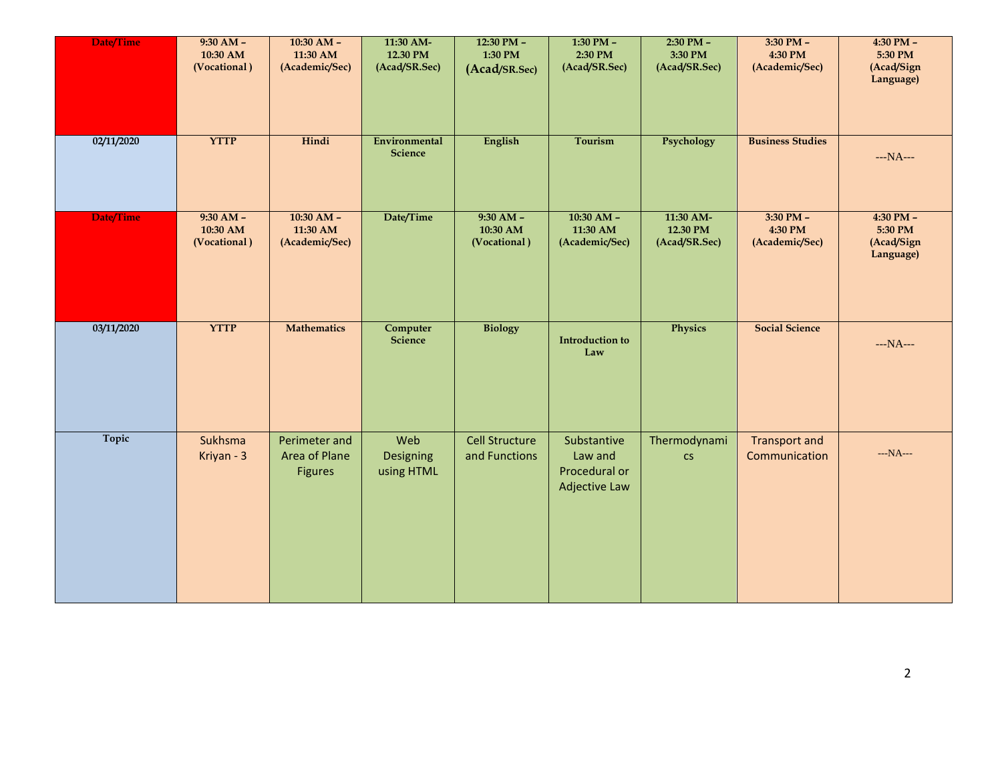| Date/Time  | $9:30 AM -$<br>10:30 AM<br>(Vocational) | $10:30$ AM -<br>11:30 AM<br>(Academic/Sec)       | 11:30 AM-<br>12.30 PM<br>(Acad/SR.Sec) | $12:30$ PM -<br>1:30 PM<br>(Acad/SR.Sec) | $1:30$ PM $-$<br>2:30 PM<br>(Acad/SR.Sec)                       | $2:30$ PM $-$<br>3:30 PM<br>(Acad/SR.Sec) | $3:30$ PM $-$<br>4:30 PM<br>(Academic/Sec) | $4:30$ PM $-$<br>5:30 PM<br>(Acad/Sign<br>Language) |
|------------|-----------------------------------------|--------------------------------------------------|----------------------------------------|------------------------------------------|-----------------------------------------------------------------|-------------------------------------------|--------------------------------------------|-----------------------------------------------------|
| 02/11/2020 | <b>YTTP</b>                             | Hindi                                            | Environmental<br>Science               | English                                  | Tourism                                                         | Psychology                                | <b>Business Studies</b>                    | $--NA--$                                            |
| Date/Time  | $9:30 AM -$<br>10:30 AM<br>(Vocational) | $10:30$ AM -<br>11:30 AM<br>(Academic/Sec)       | Date/Time                              | $9:30 AM -$<br>10:30 AM<br>(Vocational)  | $10:30$ AM -<br>11:30 AM<br>(Academic/Sec)                      | 11:30 AM-<br>12.30 PM<br>(Acad/SR.Sec)    | $3:30$ PM $-$<br>4:30 PM<br>(Academic/Sec) | $4:30$ PM $-$<br>5:30 PM<br>(Acad/Sign<br>Language) |
| 03/11/2020 | <b>YTTP</b>                             | <b>Mathematics</b>                               | Computer<br>Science                    | <b>Biology</b>                           | <b>Introduction to</b><br>Law                                   | Physics                                   | <b>Social Science</b>                      | $--NA--$                                            |
| Topic      | Sukhsma<br>Kriyan - 3                   | Perimeter and<br>Area of Plane<br><b>Figures</b> | Web<br>Designing<br>using HTML         | <b>Cell Structure</b><br>and Functions   | Substantive<br>Law and<br>Procedural or<br><b>Adjective Law</b> | Thermodynami<br>CS                        | <b>Transport and</b><br>Communication      | $--NA--$                                            |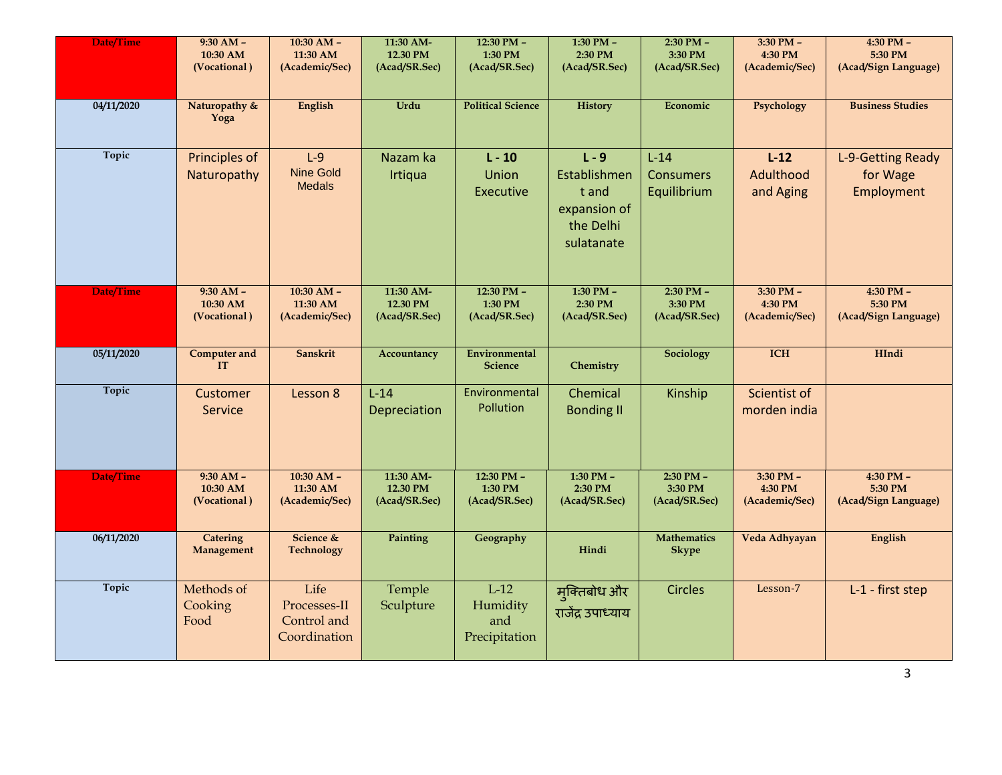| Date/Time  | $9:30 AM -$<br>10:30 AM<br>(Vocational) | $10:30$ AM $-$<br>11:30 AM<br>(Academic/Sec)        | 11:30 AM-<br>12.30 PM<br>(Acad/SR.Sec) | 12:30 PM -<br>1:30 PM<br>(Acad/SR.Sec)     | 1:30 PM -<br>2:30 PM<br>(Acad/SR.Sec)                                       | 2:30 PM -<br>3:30 PM<br>(Acad/SR.Sec)     | 3:30 PM -<br>4:30 PM<br>(Academic/Sec)     | $4:30$ PM $-$<br>5:30 PM<br>(Acad/Sign Language) |
|------------|-----------------------------------------|-----------------------------------------------------|----------------------------------------|--------------------------------------------|-----------------------------------------------------------------------------|-------------------------------------------|--------------------------------------------|--------------------------------------------------|
| 04/11/2020 | Naturopathy &<br>Yoga                   | English                                             | Urdu                                   | <b>Political Science</b>                   | <b>History</b>                                                              | Economic                                  | Psychology                                 | <b>Business Studies</b>                          |
| Topic      | Principles of<br>Naturopathy            | $L-9$<br><b>Nine Gold</b><br><b>Medals</b>          | Nazam ka<br>Irtiqua                    | $L - 10$<br>Union<br>Executive             | $L - 9$<br>Establishmen<br>t and<br>expansion of<br>the Delhi<br>sulatanate | $L-14$<br><b>Consumers</b><br>Equilibrium | $L-12$<br>Adulthood<br>and Aging           | L-9-Getting Ready<br>for Wage<br>Employment      |
| Date/Time  | $9:30 AM -$<br>10:30 AM<br>(Vocational) | $10:30$ AM -<br>11:30 AM<br>(Academic/Sec)          | 11:30 AM-<br>12.30 PM<br>(Acad/SR.Sec) | $12:30$ PM $-$<br>1:30 PM<br>(Acad/SR.Sec) | $1:30$ PM $-$<br>2:30 PM<br>(Acad/SR.Sec)                                   | $2:30$ PM $-$<br>3:30 PM<br>(Acad/SR.Sec) | $3:30$ PM $-$<br>4:30 PM<br>(Academic/Sec) | $4:30$ PM $-$<br>5:30 PM<br>(Acad/Sign Language) |
| 05/11/2020 | <b>Computer and</b><br>IT               | Sanskrit                                            | Accountancy                            | <b>Environmental</b><br><b>Science</b>     | Chemistry                                                                   | Sociology                                 | <b>ICH</b>                                 | HIndi                                            |
| Topic      | Customer<br>Service                     | Lesson 8                                            | $L-14$<br>Depreciation                 | Environmental<br>Pollution                 | Chemical<br><b>Bonding II</b>                                               | Kinship                                   | Scientist of<br>morden india               |                                                  |
| Date/Time  | $9:30 AM -$<br>10:30 AM<br>(Vocational) | $10:30$ AM -<br>11:30 AM<br>(Academic/Sec)          | 11:30 AM-<br>12.30 PM<br>(Acad/SR.Sec) | 12:30 PM -<br>1:30 PM<br>(Acad/SR.Sec)     | $1:30$ PM $-$<br>2:30 PM<br>(Acad/SR.Sec)                                   | $2:30$ PM $-$<br>3:30 PM<br>(Acad/SR.Sec) | $3:30$ PM $-$<br>4:30 PM<br>(Academic/Sec) | 4:30 PM $-$<br>5:30 PM<br>(Acad/Sign Language)   |
| 06/11/2020 | <b>Catering</b><br>Management           | Science &<br><b>Technology</b>                      | Painting                               | Geography                                  | Hindi                                                                       | <b>Mathematics</b><br><b>Skype</b>        | Veda Adhyayan                              | English                                          |
| Topic      | Methods of<br>Cooking<br>Food           | Life<br>Processes-II<br>Control and<br>Coordination | Temple<br>Sculpture                    | $L-12$<br>Humidity<br>and<br>Precipitation | मुक्तिबोध और<br>राजेंद्र उपाध्याय                                           | <b>Circles</b>                            | Lesson-7                                   | L-1 - first step                                 |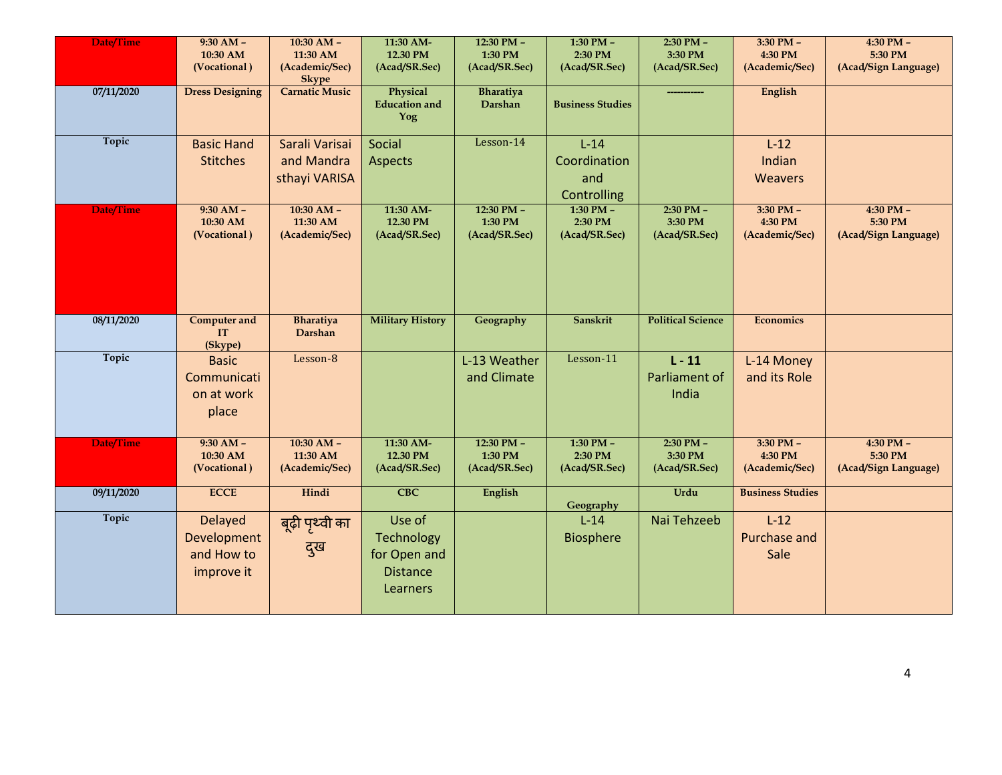| Date/Time    | $9:30 AM -$<br>10:30 AM<br>(Vocational)                   | $10:30$ AM $-$<br>11:30 AM<br>(Academic/Sec)<br><b>Skype</b> | 11:30 AM-<br>12.30 PM<br>(Acad/SR.Sec)                              | 12:30 PM -<br>1:30 PM<br>(Acad/SR.Sec)     | 1:30 PM -<br>2:30 PM<br>(Acad/SR.Sec)        | 2:30 PM -<br>3:30 PM<br>(Acad/SR.Sec)     | 3:30 PM -<br>4:30 PM<br>(Academic/Sec)     | 4:30 PM -<br>5:30 PM<br>(Acad/Sign Language) |
|--------------|-----------------------------------------------------------|--------------------------------------------------------------|---------------------------------------------------------------------|--------------------------------------------|----------------------------------------------|-------------------------------------------|--------------------------------------------|----------------------------------------------|
| 07/11/2020   | <b>Dress Designing</b>                                    | <b>Carnatic Music</b>                                        | Physical<br><b>Education</b> and<br>Yog                             | Bharatiya<br>Darshan                       | <b>Business Studies</b>                      |                                           | English                                    |                                              |
| <b>Topic</b> | <b>Basic Hand</b><br><b>Stitches</b>                      | Sarali Varisai<br>and Mandra<br>sthayi VARISA                | Social<br><b>Aspects</b>                                            | Lesson-14                                  | $L-14$<br>Coordination<br>and<br>Controlling |                                           | $L-12$<br>Indian<br>Weavers                |                                              |
| Date/Time    | $9:30 AM -$<br>10:30 AM<br>(Vocational)                   | $10:30 AM -$<br>11:30 AM<br>(Academic/Sec)                   | 11:30 AM-<br>12.30 PM<br>(Acad/SR.Sec)                              | 12:30 PM -<br>1:30 PM<br>(Acad/SR.Sec)     | 1:30 PM $-$<br>2:30 PM<br>(Acad/SR.Sec)      | $2:30$ PM $-$<br>3:30 PM<br>(Acad/SR.Sec) | $3:30$ PM $-$<br>4:30 PM<br>(Academic/Sec) | 4:30 PM -<br>5:30 PM<br>(Acad/Sign Language) |
| 08/11/2020   | <b>Computer and</b><br><b>IT</b><br>(Skype)               | <b>Bharatiya</b><br>Darshan                                  | <b>Military History</b>                                             | Geography                                  | Sanskrit                                     | <b>Political Science</b>                  | Economics                                  |                                              |
| Topic        | <b>Basic</b><br>Communicati<br>on at work<br>place        | Lesson-8                                                     |                                                                     | L-13 Weather<br>and Climate                | Lesson-11                                    | $L - 11$<br>Parliament of<br>India        | L-14 Money<br>and its Role                 |                                              |
| Date/Time    | $9:30 AM -$<br>10:30 AM<br>(Vocational)                   | $10:30$ AM $-$<br>11:30 AM<br>(Academic/Sec)                 | 11:30 AM-<br>12.30 PM<br>(Acad/SR.Sec)                              | $12:30$ PM $-$<br>1:30 PM<br>(Acad/SR.Sec) | $1:30$ PM $-$<br>2:30 PM<br>(Acad/SR.Sec)    | $2:30$ PM $-$<br>3:30 PM<br>(Acad/SR.Sec) | 3:30 PM -<br>4:30 PM<br>(Academic/Sec)     | 4:30 PM -<br>5:30 PM<br>(Acad/Sign Language) |
| 09/11/2020   | <b>ECCE</b>                                               | Hindi                                                        | <b>CBC</b>                                                          | English                                    | Geography                                    | Urdu                                      | <b>Business Studies</b>                    |                                              |
| Topic        | <b>Delayed</b><br>Development<br>and How to<br>improve it | बूढ़ी पृथ्वी का<br>दुख                                       | Use of<br>Technology<br>for Open and<br><b>Distance</b><br>Learners |                                            | $L-14$<br><b>Biosphere</b>                   | Nai Tehzeeb                               | $L-12$<br>Purchase and<br>Sale             |                                              |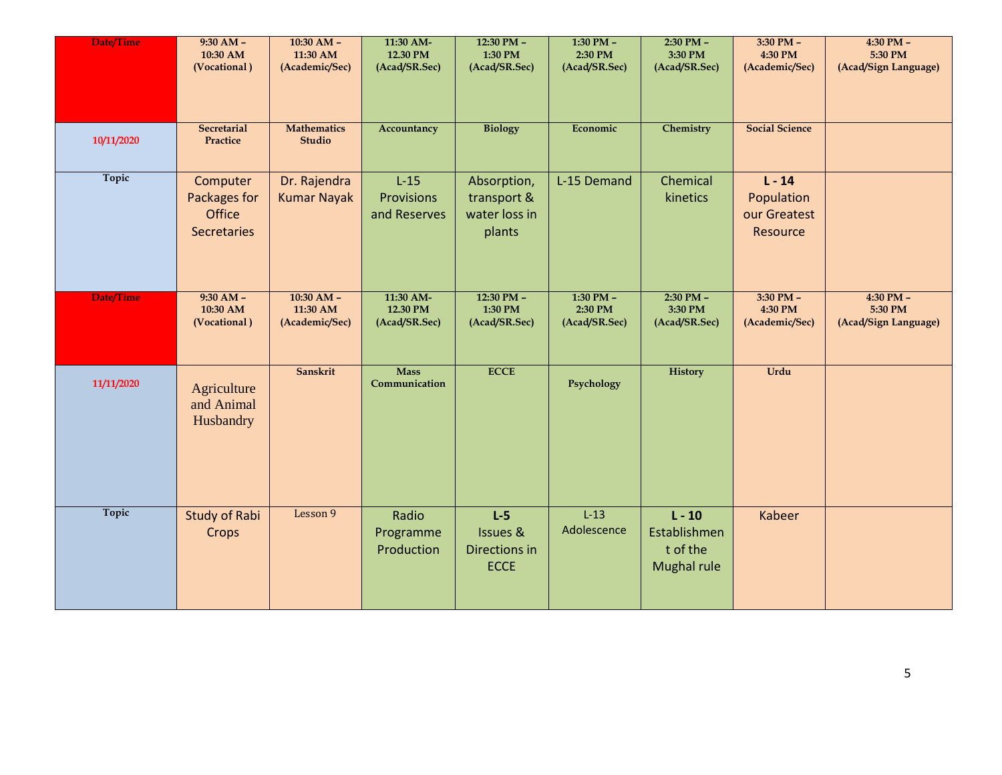| Date/Time  | $9:30 AM -$<br>10:30 AM<br>(Vocational)                         | $10:30$ AM $-$<br>11:30 AM<br>(Academic/Sec) | 11:30 AM-<br>12.30 PM<br>(Acad/SR.Sec) | $12:30$ PM $-$<br>1:30 PM<br>(Acad/SR.Sec)                   | $1:30$ PM $-$<br>2:30 PM<br>(Acad/SR.Sec) | $2:30$ PM -<br>3:30 PM<br>(Acad/SR.Sec)             | $3:30$ PM $-$<br>4:30 PM<br>(Academic/Sec)         | $4:30$ PM $-$<br>5:30 PM<br>(Acad/Sign Language) |
|------------|-----------------------------------------------------------------|----------------------------------------------|----------------------------------------|--------------------------------------------------------------|-------------------------------------------|-----------------------------------------------------|----------------------------------------------------|--------------------------------------------------|
| 10/11/2020 | Secretarial<br>Practice                                         | <b>Mathematics</b><br><b>Studio</b>          | Accountancy                            | <b>Biology</b>                                               | Economic                                  | <b>Chemistry</b>                                    | <b>Social Science</b>                              |                                                  |
| Topic      | Computer<br>Packages for<br><b>Office</b><br><b>Secretaries</b> | Dr. Rajendra<br><b>Kumar Nayak</b>           | $L-15$<br>Provisions<br>and Reserves   | Absorption,<br>transport &<br>water loss in<br>plants        | L-15 Demand                               | Chemical<br>kinetics                                | $L - 14$<br>Population<br>our Greatest<br>Resource |                                                  |
| Date/Time  | $9:30 AM -$<br>10:30 AM<br>(Vocational)                         | $10:30$ AM $-$<br>11:30 AM<br>(Academic/Sec) | 11:30 AM-<br>12.30 PM<br>(Acad/SR.Sec) | 12:30 PM -<br>1:30 PM<br>(Acad/SR.Sec)                       | 1:30 PM -<br>2:30 PM<br>(Acad/SR.Sec)     | 2:30 PM -<br>3:30 PM<br>(Acad/SR.Sec)               | 3:30 PM -<br>4:30 PM<br>(Academic/Sec)             | 4:30 PM -<br>5:30 PM<br>(Acad/Sign Language)     |
| 11/11/2020 | Agriculture<br>and Animal<br>Husbandry                          | Sanskrit                                     | <b>Mass</b><br>Communication           | <b>ECCE</b>                                                  | Psychology                                | <b>History</b>                                      | Urdu                                               |                                                  |
| Topic      | <b>Study of Rabi</b><br>Crops                                   | Lesson 9                                     | Radio<br>Programme<br>Production       | $L-5$<br><b>Issues &amp;</b><br>Directions in<br><b>ECCE</b> | $L-13$<br>Adolescence                     | $L - 10$<br>Establishmen<br>t of the<br>Mughal rule | Kabeer                                             |                                                  |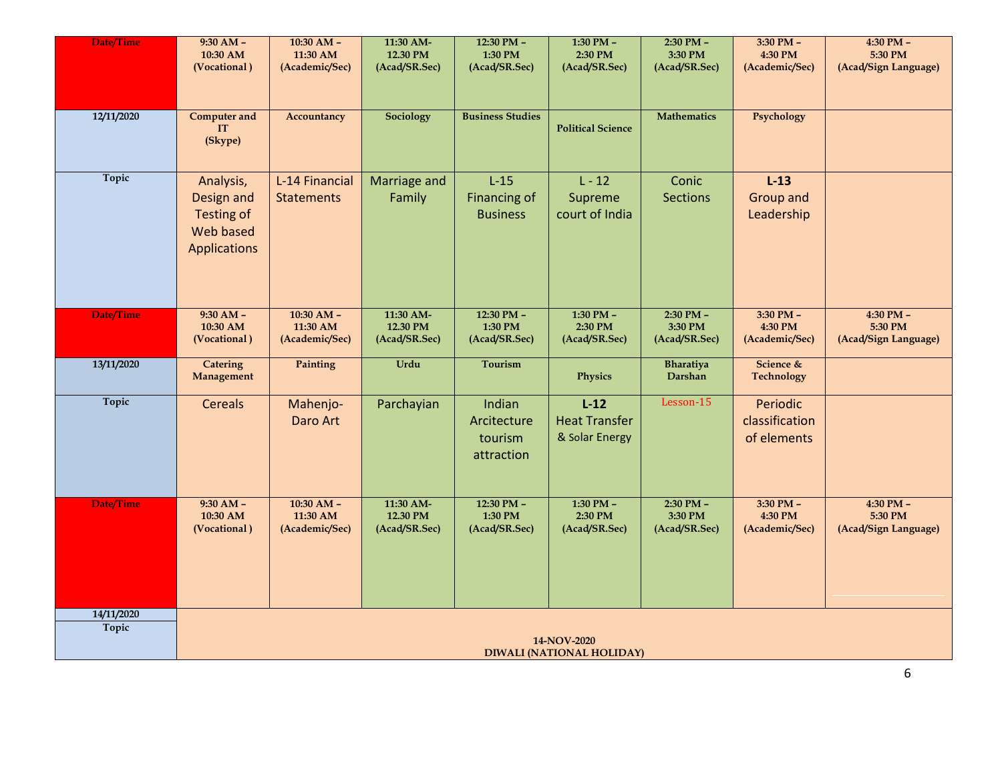| Date/Time    | $9:30 AM -$                                                        | $10:30$ AM $-$                      | 11:30 AM-              | $12:30$ PM $-$                                   | $1:30$ PM $-$                                    | $2:30$ PM $-$            | $3:30$ PM $-$                             | $4:30$ PM $-$        |
|--------------|--------------------------------------------------------------------|-------------------------------------|------------------------|--------------------------------------------------|--------------------------------------------------|--------------------------|-------------------------------------------|----------------------|
|              | 10:30 AM                                                           | 11:30 AM                            | 12.30 PM               | 1:30 PM                                          | 2:30 PM                                          | 3:30 PM                  | 4:30 PM                                   | 5:30 PM              |
|              | (Vocational)                                                       | (Academic/Sec)                      | (Acad/SR.Sec)          | (Acad/SR.Sec)                                    | (Acad/SR.Sec)                                    | (Acad/SR.Sec)            | (Academic/Sec)                            | (Acad/Sign Language) |
| 12/11/2020   | <b>Computer and</b><br><b>IT</b><br>(Skype)                        | Accountancy                         | Sociology              | <b>Business Studies</b>                          | <b>Political Science</b>                         | <b>Mathematics</b>       | Psychology                                |                      |
| Topic        | Analysis,<br>Design and<br>Testing of<br>Web based<br>Applications | L-14 Financial<br><b>Statements</b> | Marriage and<br>Family | $L-15$<br><b>Financing of</b><br><b>Business</b> | $L - 12$<br>Supreme<br>court of India            | Conic<br><b>Sections</b> | $L-13$<br>Group and<br>Leadership         |                      |
| Date/Time    | $9:30 AM -$                                                        | $10:30$ AM $-$                      | 11:30 AM-              | 12:30 PM -                                       | $1:30$ PM $-$                                    | $2:30$ PM $-$            | 3:30 PM -                                 | 4:30 PM -            |
|              | 10:30 AM                                                           | 11:30 AM                            | 12.30 PM               | 1:30 PM                                          | 2:30 PM                                          | 3:30 PM                  | 4:30 PM                                   | 5:30 PM              |
|              | (Vocational)                                                       | (Academic/Sec)                      | (Acad/SR.Sec)          | (Acad/SR.Sec)                                    | (Acad/SR.Sec)                                    | (Acad/SR.Sec)            | (Academic/Sec)                            | (Acad/Sign Language) |
| 13/11/2020   | <b>Catering</b><br>Management                                      | Painting                            | Urdu                   | <b>Tourism</b>                                   | <b>Physics</b>                                   | Bharatiya<br>Darshan     | Science &<br><b>Technology</b>            |                      |
| Topic        | <b>Cereals</b>                                                     | Mahenjo-<br>Daro Art                | Parchayian             | Indian<br>Arcitecture<br>tourism<br>attraction   | $L-12$<br><b>Heat Transfer</b><br>& Solar Energy | Lesson-15                | Periodic<br>classification<br>of elements |                      |
| Date/Time    | $9:30 AM -$                                                        | $10:30$ AM $-$                      | 11:30 AM-              | $12:30$ PM -                                     | $1:30$ PM $-$                                    | $2:30$ PM $-$            | $3:30$ PM $-$                             | $4:30$ PM $-$        |
|              | 10:30 AM                                                           | 11:30 AM                            | 12.30 PM               | 1:30 PM                                          | 2:30 PM                                          | 3:30 PM                  | 4:30 PM                                   | 5:30 PM              |
|              | (Vocational)                                                       | (Academic/Sec)                      | (Acad/SR.Sec)          | (Acad/SR.Sec)                                    | (Acad/SR.Sec)                                    | (Acad/SR.Sec)            | (Academic/Sec)                            | (Acad/Sign Language) |
| 14/11/2020   | 14-NOV-2020                                                        |                                     |                        |                                                  |                                                  |                          |                                           |                      |
| <b>Topic</b> | DIWALI (NATIONAL HOLIDAY)                                          |                                     |                        |                                                  |                                                  |                          |                                           |                      |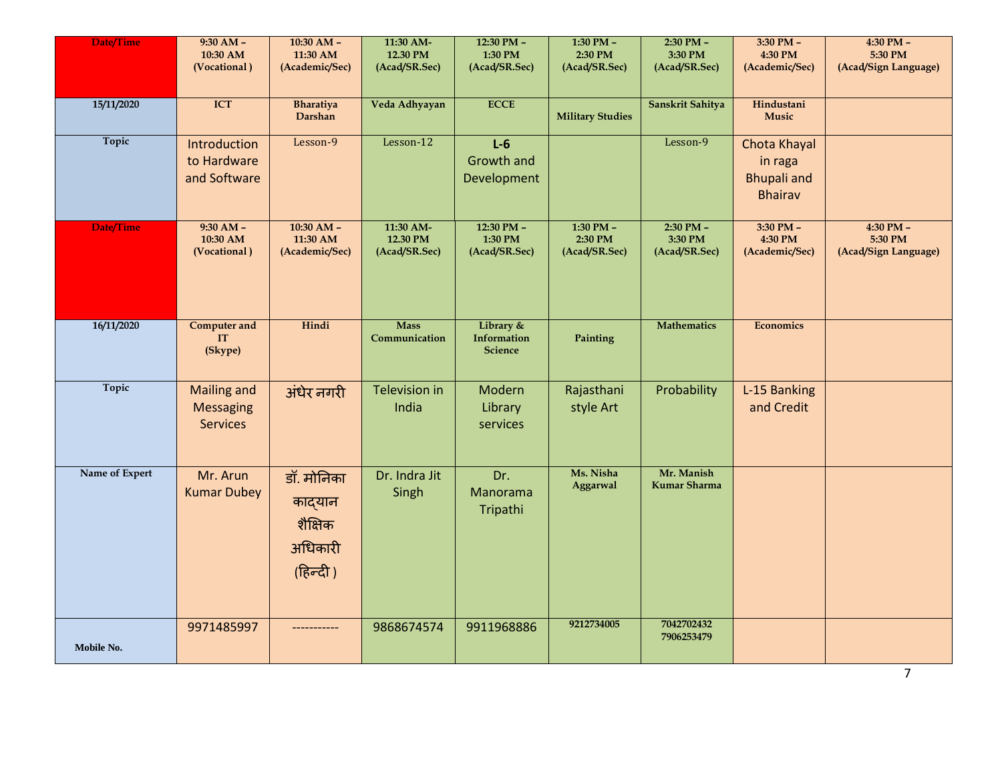| <b>Date/Time</b> | $9:30 AM -$<br>10:30 AM<br>(Vocational)                   | $10:30$ AM $-$<br>11:30 AM<br>(Academic/Sec)            | 11:30 AM-<br>12.30 PM<br>(Acad/SR.Sec) | 12:30 PM -<br>1:30 PM<br>(Acad/SR.Sec)     | 1:30 PM -<br>2:30 PM<br>(Acad/SR.Sec)     | 2:30 PM -<br>3:30 PM<br>(Acad/SR.Sec)     | 3:30 PM -<br>4:30 PM<br>(Academic/Sec)                          | 4:30 PM -<br>5:30 PM<br>(Acad/Sign Language)     |
|------------------|-----------------------------------------------------------|---------------------------------------------------------|----------------------------------------|--------------------------------------------|-------------------------------------------|-------------------------------------------|-----------------------------------------------------------------|--------------------------------------------------|
| 15/11/2020       | ICT                                                       | <b>Bharatiya</b><br>Darshan                             | Veda Adhyayan                          | <b>ECCE</b>                                | <b>Military Studies</b>                   | Sanskrit Sahitya                          | Hindustani<br><b>Music</b>                                      |                                                  |
| Topic            | Introduction<br>to Hardware<br>and Software               | Lesson-9                                                | Lesson-12                              | $L-6$<br><b>Growth and</b><br>Development  |                                           | Lesson-9                                  | Chota Khayal<br>in raga<br><b>Bhupali</b> and<br><b>Bhairav</b> |                                                  |
| Date/Time        | $9:30 AM -$<br>10:30 AM<br>(Vocational)                   | $10:30$ AM -<br>11:30 AM<br>(Academic/Sec)              | 11:30 AM-<br>12.30 PM<br>(Acad/SR.Sec) | 12:30 PM $-$<br>1:30 PM<br>(Acad/SR.Sec)   | $1:30$ PM $-$<br>2:30 PM<br>(Acad/SR.Sec) | $2:30$ PM $-$<br>3:30 PM<br>(Acad/SR.Sec) | $3:30$ PM $-$<br>4:30 PM<br>(Academic/Sec)                      | $4:30$ PM $-$<br>5:30 PM<br>(Acad/Sign Language) |
| 16/11/2020       | <b>Computer and</b><br><b>IT</b><br>(Skype)               | Hindi                                                   | <b>Mass</b><br>Communication           | Library &<br>Information<br><b>Science</b> | Painting                                  | <b>Mathematics</b>                        | <b>Economics</b>                                                |                                                  |
| Topic            | <b>Mailing and</b><br><b>Messaging</b><br><b>Services</b> | अंधेर नगरी                                              | <b>Television in</b><br>India          | Modern<br>Library<br>services              | Rajasthani<br>style Art                   | Probability                               | L-15 Banking<br>and Credit                                      |                                                  |
| Name of Expert   | Mr. Arun<br><b>Kumar Dubey</b>                            | डॉ. मोनिका<br>काद्यान<br>शैक्षिक<br>अधिकारी<br>(हिन्दी) | Dr. Indra Jit<br>Singh                 | Dr.<br>Manorama<br>Tripathi                | Ms. Nisha<br>Aggarwal                     | Mr. Manish<br><b>Kumar Sharma</b>         |                                                                 |                                                  |
| Mobile No.       | 9971485997                                                |                                                         | 9868674574                             | 9911968886                                 | 9212734005                                | 7042702432<br>7906253479                  |                                                                 |                                                  |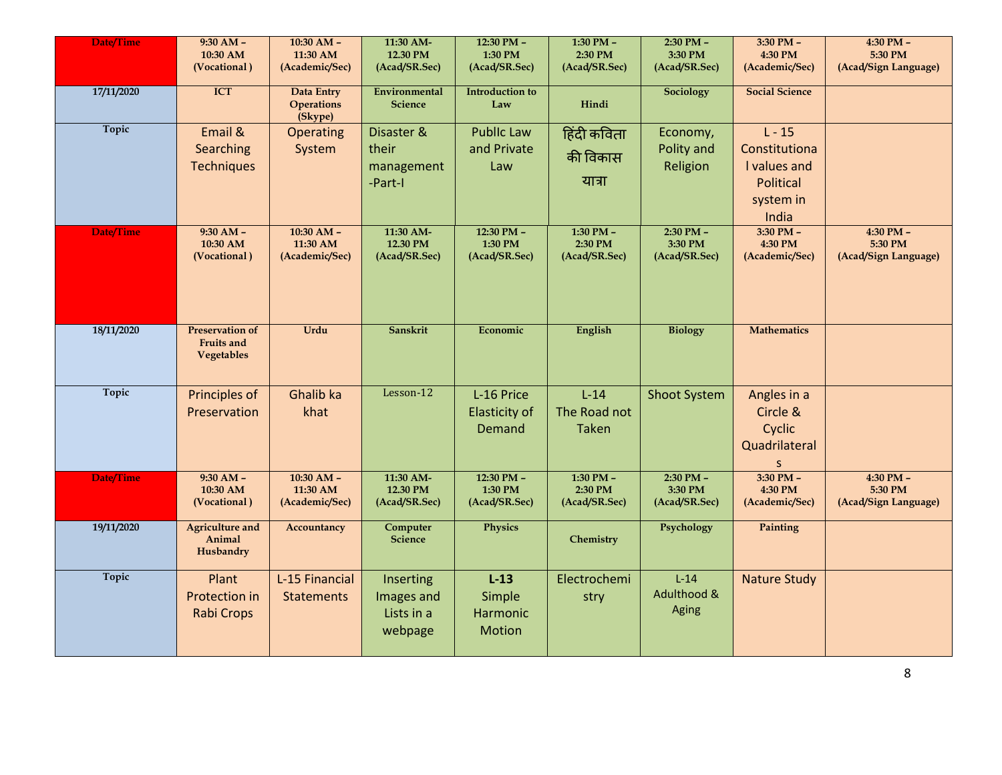| Date/Time  | $9:30 AM -$<br>10:30 AM<br>(Vocational)                   | $10:30$ AM -<br>11:30 AM<br>(Academic/Sec)   | 11:30 AM-<br>12.30 PM<br>(Acad/SR.Sec)           | $12:30$ PM -<br>1:30 PM<br>(Acad/SR.Sec)     | $1:30$ PM $-$<br>2:30 PM<br>(Acad/SR.Sec) | $2:30$ PM $-$<br>3:30 PM<br>(Acad/SR.Sec) | $3:30$ PM $-$<br>4:30 PM<br>(Academic/Sec)                                   | $4:30$ PM $-$<br>5:30 PM<br>(Acad/Sign Language) |
|------------|-----------------------------------------------------------|----------------------------------------------|--------------------------------------------------|----------------------------------------------|-------------------------------------------|-------------------------------------------|------------------------------------------------------------------------------|--------------------------------------------------|
| 17/11/2020 | <b>ICT</b>                                                | Data Entry<br><b>Operations</b><br>(Skype)   | Environmental<br><b>Science</b>                  | <b>Introduction to</b><br>Law                | Hindi                                     | Sociology                                 | <b>Social Science</b>                                                        |                                                  |
| Topic      | Email &<br>Searching<br><b>Techniques</b>                 | Operating<br>System                          | Disaster &<br>their<br>management<br>-Part-I     | <b>Public Law</b><br>and Private<br>Law      | हिंदी कविता<br>की विकास<br>यात्रा         | Economy,<br>Polity and<br>Religion        | $L - 15$<br>Constitutiona<br>I values and<br>Political<br>system in<br>India |                                                  |
| Date/Time  | $9:30 AM -$<br>10:30 AM<br>(Vocational)                   | $10:30$ AM $-$<br>11:30 AM<br>(Academic/Sec) | 11:30 AM-<br>12.30 PM<br>(Acad/SR.Sec)           | $12:30$ PM -<br>1:30 PM<br>(Acad/SR.Sec)     | $1:30$ PM $-$<br>2:30 PM<br>(Acad/SR.Sec) | $2:30$ PM $-$<br>3:30 PM<br>(Acad/SR.Sec) | $3:30$ PM $-$<br>4:30 PM<br>(Academic/Sec)                                   | $4:30$ PM $-$<br>5:30 PM<br>(Acad/Sign Language) |
| 18/11/2020 | <b>Preservation of</b><br>Fruits and<br><b>Vegetables</b> | Urdu                                         | Sanskrit                                         | Economic                                     | English                                   | <b>Biology</b>                            | <b>Mathematics</b>                                                           |                                                  |
| Topic      | Principles of<br>Preservation                             | Ghalib ka<br>khat                            | Lesson-12                                        | L-16 Price<br><b>Elasticity of</b><br>Demand | $L-14$<br>The Road not<br><b>Taken</b>    | <b>Shoot System</b>                       | Angles in a<br>Circle &<br>Cyclic<br>Quadrilateral<br>S                      |                                                  |
| Date/Time  | $9:30 AM -$<br>10:30 AM<br>(Vocational)                   | $10:30$ AM $-$<br>11:30 AM<br>(Academic/Sec) | 11:30 AM-<br>12.30 PM<br>(Acad/SR.Sec)           | 12:30 PM -<br>1:30 PM<br>(Acad/SR.Sec)       | 1:30 PM $-$<br>2:30 PM<br>(Acad/SR.Sec)   | $2:30$ PM $-$<br>3:30 PM<br>(Acad/SR.Sec) | $3:30$ PM $-$<br>4:30 PM<br>(Academic/Sec)                                   | $4:30$ PM $-$<br>5:30 PM<br>(Acad/Sign Language) |
| 19/11/2020 | <b>Agriculture and</b><br>Animal<br>Husbandry             | Accountancy                                  | Computer<br><b>Science</b>                       | Physics                                      | Chemistry                                 | Psychology                                | Painting                                                                     |                                                  |
| Topic      | Plant<br>Protection in<br><b>Rabi Crops</b>               | L-15 Financial<br><b>Statements</b>          | Inserting<br>Images and<br>Lists in a<br>webpage | $L-13$<br>Simple<br>Harmonic<br>Motion       | Electrochemi<br>stry                      | $L-14$<br>Adulthood &<br>Aging            | <b>Nature Study</b>                                                          |                                                  |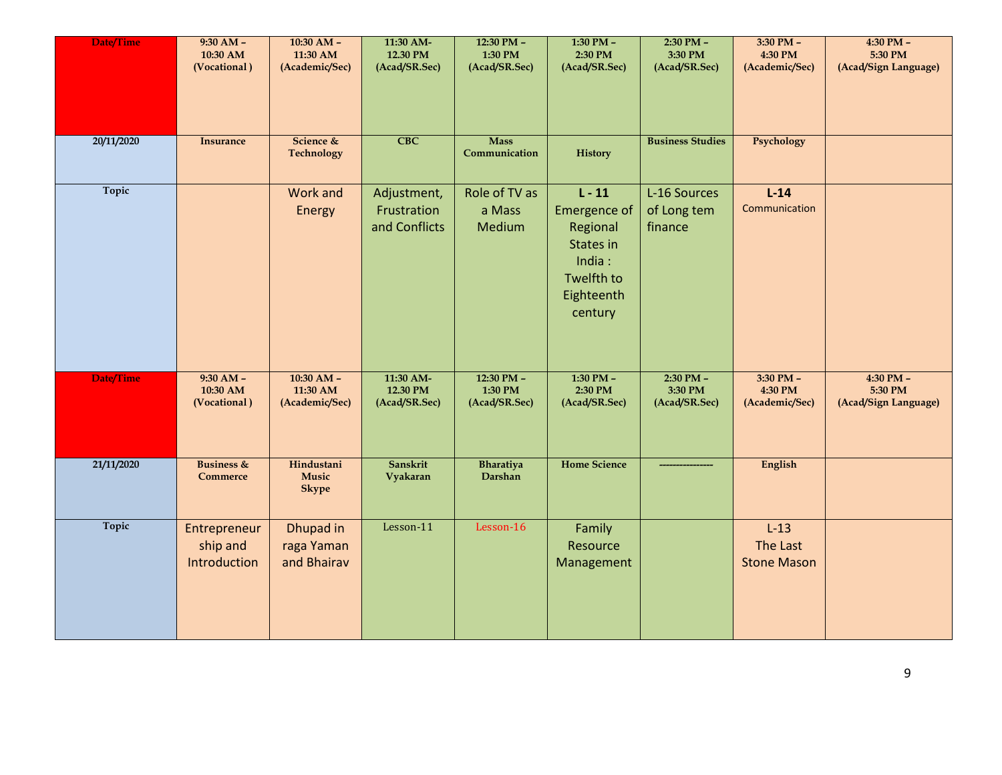| Date/Time        | $9:30 AM -$<br>10:30 AM<br>(Vocational)  | $10:30 AM -$<br>11:30 AM<br>(Academic/Sec) | 11:30 AM-<br>12.30 PM<br>(Acad/SR.Sec)      | $12:30$ PM $-$<br>1:30 PM<br>(Acad/SR.Sec) | $1:30$ PM $-$<br>2:30 PM<br>(Acad/SR.Sec)                                                          | 2:30 PM -<br>3:30 PM<br>(Acad/SR.Sec)     | $3:30$ PM $-$<br>4:30 PM<br>(Academic/Sec) | 4:30 PM -<br>5:30 PM<br>(Acad/Sign Language)     |
|------------------|------------------------------------------|--------------------------------------------|---------------------------------------------|--------------------------------------------|----------------------------------------------------------------------------------------------------|-------------------------------------------|--------------------------------------------|--------------------------------------------------|
| 20/11/2020       | <b>Insurance</b>                         | Science &<br><b>Technology</b>             | $\overline{\text{CBC}}$                     | <b>Mass</b><br>Communication               | <b>History</b>                                                                                     | <b>Business Studies</b>                   | Psychology                                 |                                                  |
| Topic            |                                          | <b>Work and</b><br>Energy                  | Adjustment,<br>Frustration<br>and Conflicts | Role of TV as<br>a Mass<br>Medium          | $L - 11$<br>Emergence of<br>Regional<br>States in<br>India:<br>Twelfth to<br>Eighteenth<br>century | L-16 Sources<br>of Long tem<br>finance    | $L-14$<br>Communication                    |                                                  |
| <b>Date/Time</b> | $9:30 AM -$<br>10:30 AM<br>(Vocational)  | $10:30$ AM -<br>11:30 AM<br>(Academic/Sec) | 11:30 AM-<br>12.30 PM<br>(Acad/SR.Sec)      | $12:30$ PM $-$<br>1:30 PM<br>(Acad/SR.Sec) | $1:30$ PM $-$<br>2:30 PM<br>(Acad/SR.Sec)                                                          | $2:30$ PM $-$<br>3:30 PM<br>(Acad/SR.Sec) | $3:30$ PM $-$<br>4:30 PM<br>(Academic/Sec) | $4:30$ PM $-$<br>5:30 PM<br>(Acad/Sign Language) |
| 21/11/2020       | <b>Business &amp;</b><br><b>Commerce</b> | Hindustani<br>Music<br><b>Skype</b>        | Sanskrit<br>Vyakaran                        | Bharatiya<br>Darshan                       | <b>Home Science</b>                                                                                |                                           | English                                    |                                                  |
| Topic            | Entrepreneur<br>ship and<br>Introduction | Dhupad in<br>raga Yaman<br>and Bhairav     | Lesson-11                                   | Lesson-16                                  | Family<br>Resource<br>Management                                                                   |                                           | $L-13$<br>The Last<br><b>Stone Mason</b>   |                                                  |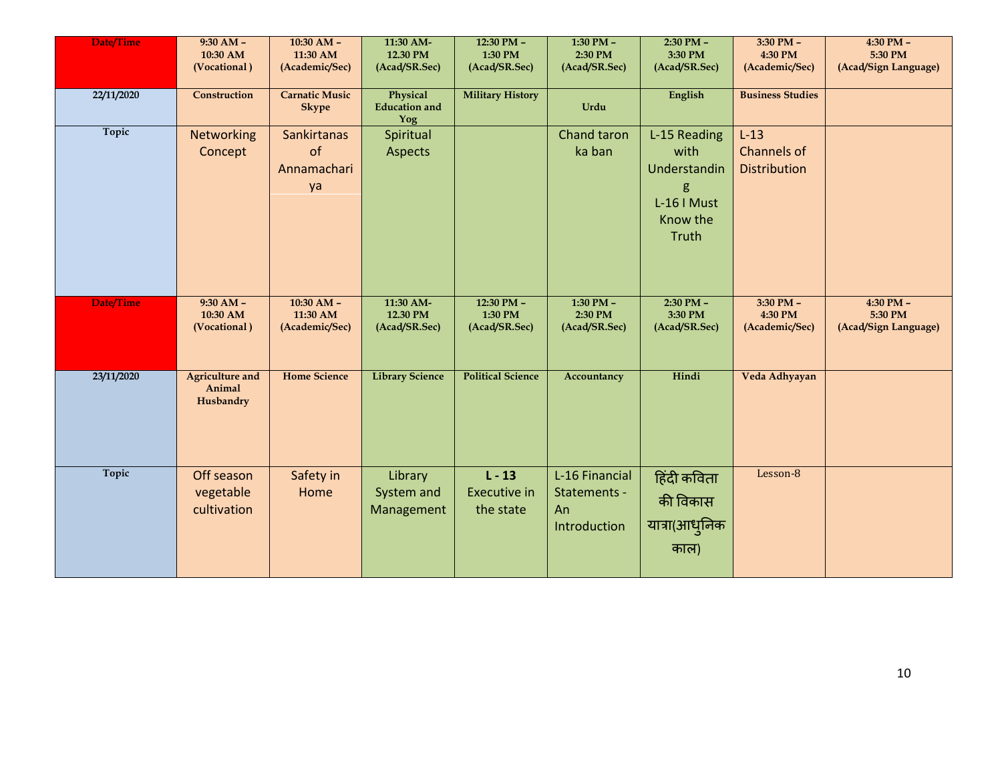| Date/Time    | $9:30 AM -$<br>10:30 AM<br>(Vocational)       | $10:30$ AM $-$<br>11:30 AM<br>(Academic/Sec)  | 11:30 AM-<br>12.30 PM<br>(Acad/SR.Sec)  | 12:30 PM -<br>1:30 PM<br>(Acad/SR.Sec)       | 1:30 PM $-$<br>2:30 PM<br>(Acad/SR.Sec)              | 2:30 PM -<br>3:30 PM<br>(Acad/SR.Sec)                                         | 3:30 PM -<br>4:30 PM<br>(Academic/Sec)       | 4:30 PM -<br>5:30 PM<br>(Acad/Sign Language) |
|--------------|-----------------------------------------------|-----------------------------------------------|-----------------------------------------|----------------------------------------------|------------------------------------------------------|-------------------------------------------------------------------------------|----------------------------------------------|----------------------------------------------|
| 22/11/2020   | Construction                                  | <b>Carnatic Music</b><br><b>Skype</b>         | Physical<br><b>Education</b> and<br>Yog | <b>Military History</b>                      | Urdu                                                 | English                                                                       | <b>Business Studies</b>                      |                                              |
| <b>Topic</b> | Networking<br>Concept                         | <b>Sankirtanas</b><br>of<br>Annamachari<br>ya | Spiritual<br>Aspects                    |                                              | Chand taron<br>ka ban                                | L-15 Reading<br>with<br>Understandin<br>g<br>L-16 I Must<br>Know the<br>Truth | $L-13$<br>Channels of<br><b>Distribution</b> |                                              |
| Date/Time    | $9:30 AM -$<br>10:30 AM<br>(Vocational)       | $10:30$ AM $-$<br>11:30 AM<br>(Academic/Sec)  | 11:30 AM-<br>12.30 PM<br>(Acad/SR.Sec)  | 12:30 PM -<br>1:30 PM<br>(Acad/SR.Sec)       | 1:30 PM $-$<br>2:30 PM<br>(Acad/SR.Sec)              | $2:30$ PM $-$<br>3:30 PM<br>(Acad/SR.Sec)                                     | $3:30$ PM $-$<br>4:30 PM<br>(Academic/Sec)   | 4:30 PM -<br>5:30 PM<br>(Acad/Sign Language) |
| 23/11/2020   | <b>Agriculture and</b><br>Animal<br>Husbandry | <b>Home Science</b>                           | <b>Library Science</b>                  | <b>Political Science</b>                     | Accountancy                                          | Hindi                                                                         | Veda Adhyayan                                |                                              |
| Topic        | Off season<br>vegetable<br>cultivation        | Safety in<br>Home                             | Library<br>System and<br>Management     | $L - 13$<br><b>Executive in</b><br>the state | L-16 Financial<br>Statements -<br>An<br>Introduction | हिंदी कविता<br>की विकास<br>यात्रा(आधुनिक<br>काल)                              | Lesson-8                                     |                                              |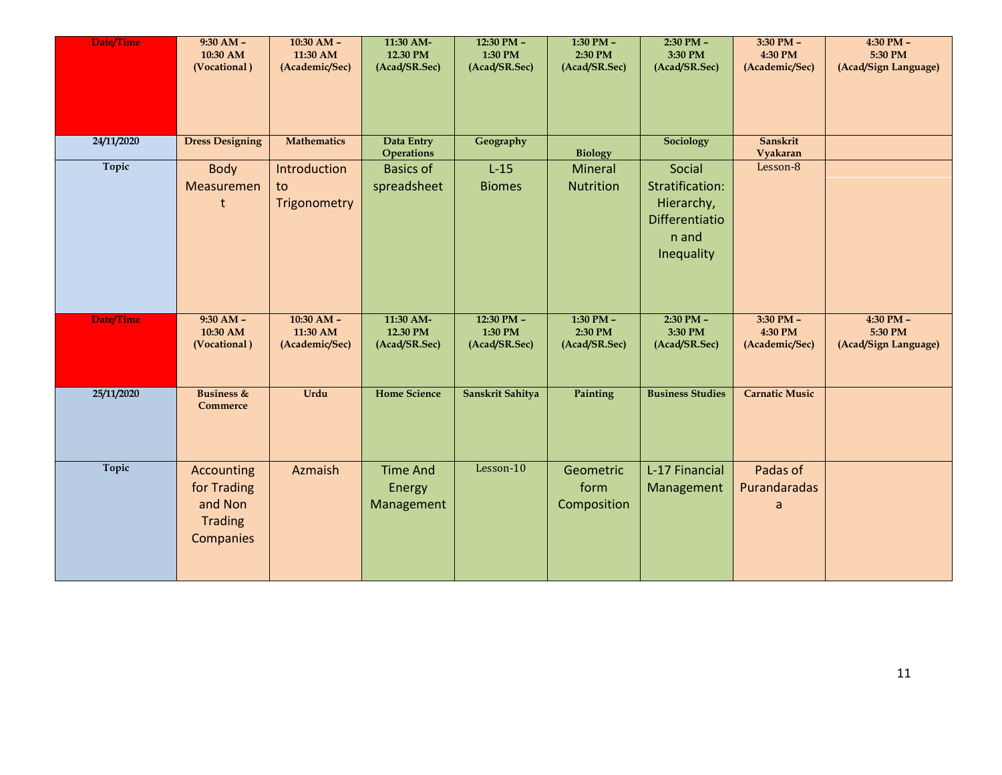| Date/Time    | $9:30 AM -$<br>10:30 AM<br>(Vocational)                             | $10:30$ AM $-$<br>11:30 AM<br>(Academic/Sec) | 11:30 AM-<br>12.30 PM<br>(Acad/SR.Sec)  | 12:30 PM -<br>1:30 PM<br>(Acad/SR.Sec)     | 1:30 PM $-$<br>2:30 PM<br>(Acad/SR.Sec)   | 2:30 PM -<br>3:30 PM<br>(Acad/SR.Sec)                                            | 3:30 PM -<br>4:30 PM<br>(Academic/Sec)     | 4:30 PM -<br>5:30 PM<br>(Acad/Sign Language)     |
|--------------|---------------------------------------------------------------------|----------------------------------------------|-----------------------------------------|--------------------------------------------|-------------------------------------------|----------------------------------------------------------------------------------|--------------------------------------------|--------------------------------------------------|
| 24/11/2020   | <b>Dress Designing</b>                                              | <b>Mathematics</b>                           | Data Entry<br><b>Operations</b>         | Geography                                  | <b>Biology</b>                            | <b>Sociology</b>                                                                 | Sanskrit<br>Vyakaran                       |                                                  |
| Topic        | Body<br>Measuremen                                                  | Introduction<br>to<br>Trigonometry           | <b>Basics of</b><br>spreadsheet         | $L-15$<br><b>Biomes</b>                    | Mineral<br><b>Nutrition</b>               | Social<br>Stratification:<br>Hierarchy,<br>Differentiatio<br>n and<br>Inequality | Lesson-8                                   |                                                  |
| Date/Time    | $9:30 AM -$<br>10:30 AM<br>(Vocational)                             | $10:30$ AM $-$<br>11:30 AM<br>(Academic/Sec) | 11:30 AM-<br>12.30 PM<br>(Acad/SR.Sec)  | $12:30$ PM $-$<br>1:30 PM<br>(Acad/SR.Sec) | $1:30$ PM $-$<br>2:30 PM<br>(Acad/SR.Sec) | $2:30$ PM $-$<br>3:30 PM<br>(Acad/SR.Sec)                                        | $3:30$ PM $-$<br>4:30 PM<br>(Academic/Sec) | $4:30$ PM $-$<br>5:30 PM<br>(Acad/Sign Language) |
| 25/11/2020   | <b>Business &amp;</b><br>Commerce                                   | Urdu                                         | <b>Home Science</b>                     | Sanskrit Sahitya                           | Painting                                  | <b>Business Studies</b>                                                          | <b>Carnatic Music</b>                      |                                                  |
| <b>Topic</b> | Accounting<br>for Trading<br>and Non<br><b>Trading</b><br>Companies | Azmaish                                      | <b>Time And</b><br>Energy<br>Management | Lesson-10                                  | Geometric<br>form<br>Composition          | L-17 Financial<br>Management                                                     | Padas of<br>Purandaradas<br>a              |                                                  |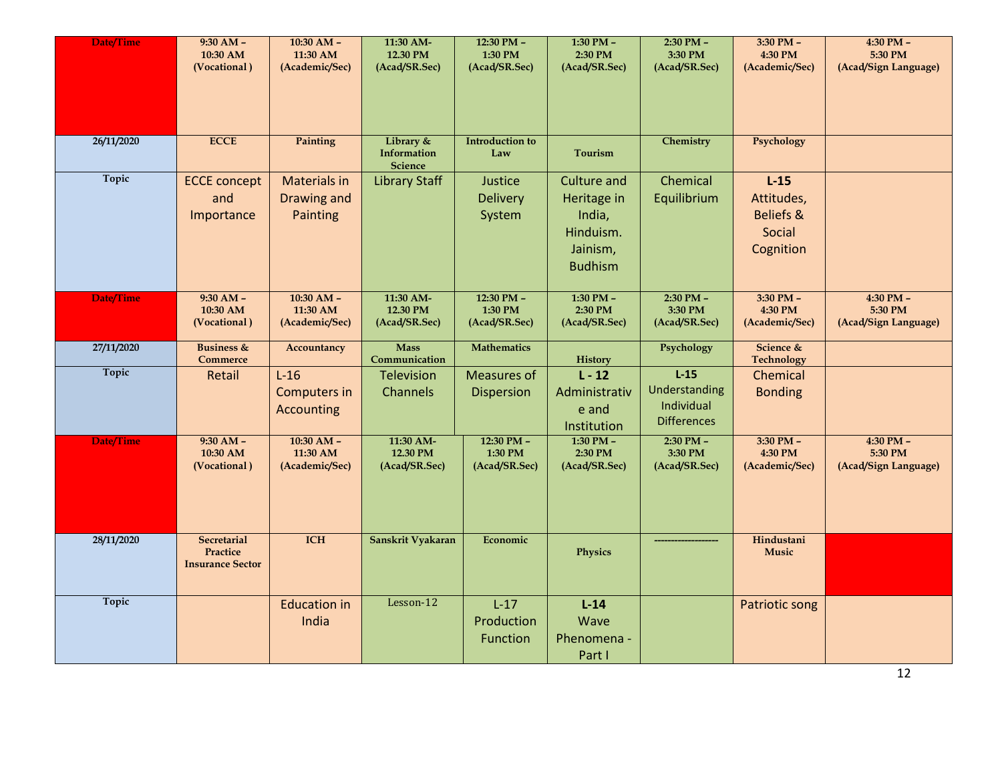| Date/Time  | $9:30 AM -$<br>10:30 AM<br>(Vocational)                   | $10:30$ AM $-$<br>11:30 AM<br>(Academic/Sec)   | 11:30 AM-<br>12.30 PM<br>(Acad/SR.Sec)     | $12:30$ PM $-$<br>1:30 PM<br>(Acad/SR.Sec) | $1:30$ PM $-$<br>2:30 PM<br>(Acad/SR.Sec)                                              | $2:30$ PM $-$<br>3:30 PM<br>(Acad/SR.Sec)                   | $3:30$ PM $-$<br>4:30 PM<br>(Academic/Sec)                          | $4:30$ PM $-$<br>5:30 PM<br>(Acad/Sign Language) |
|------------|-----------------------------------------------------------|------------------------------------------------|--------------------------------------------|--------------------------------------------|----------------------------------------------------------------------------------------|-------------------------------------------------------------|---------------------------------------------------------------------|--------------------------------------------------|
| 26/11/2020 | <b>ECCE</b>                                               | Painting                                       | Library &<br>Information<br><b>Science</b> | <b>Introduction to</b><br>Law              | <b>Tourism</b>                                                                         | Chemistry                                                   | Psychology                                                          |                                                  |
| Topic      | <b>ECCE</b> concept<br>and<br>Importance                  | <b>Materials in</b><br>Drawing and<br>Painting | <b>Library Staff</b>                       | Justice<br><b>Delivery</b><br>System       | <b>Culture and</b><br>Heritage in<br>India,<br>Hinduism.<br>Jainism,<br><b>Budhism</b> | Chemical<br>Equilibrium                                     | $L-15$<br>Attitudes,<br><b>Beliefs &amp;</b><br>Social<br>Cognition |                                                  |
| Date/Time  | $9:30 AM -$<br>10:30 AM<br>(Vocational)                   | $10:30$ AM -<br>11:30 AM<br>(Academic/Sec)     | 11:30 AM-<br>12.30 PM<br>(Acad/SR.Sec)     | $12:30$ PM -<br>1:30 PM<br>(Acad/SR.Sec)   | $1:30$ PM $-$<br>2:30 PM<br>(Acad/SR.Sec)                                              | $2:30$ PM $-$<br>3:30 PM<br>(Acad/SR.Sec)                   | $3:30$ PM $-$<br>4:30 PM<br>(Academic/Sec)                          | $4:30$ PM $-$<br>5:30 PM<br>(Acad/Sign Language) |
| 27/11/2020 | <b>Business &amp;</b><br>Commerce                         | Accountancy                                    | <b>Mass</b><br>Communication               | <b>Mathematics</b>                         | <b>History</b>                                                                         | Psychology                                                  | Science &<br><b>Technology</b>                                      |                                                  |
| Topic      | Retail                                                    | $L-16$<br><b>Computers in</b><br>Accounting    | Television<br>Channels                     | <b>Measures of</b><br><b>Dispersion</b>    | $L - 12$<br>Administrativ<br>e and<br>Institution                                      | $L-15$<br>Understanding<br>Individual<br><b>Differences</b> | Chemical<br><b>Bonding</b>                                          |                                                  |
| Date/Time  | $9:30 AM -$<br>10:30 AM<br>(Vocational)                   | $10:30$ AM -<br>11:30 AM<br>(Academic/Sec)     | 11:30 AM-<br>12.30 PM<br>(Acad/SR.Sec)     | $12:30$ PM $-$<br>1:30 PM<br>(Acad/SR.Sec) | $1:30$ PM $-$<br>2:30 PM<br>(Acad/SR.Sec)                                              | $2:30$ PM -<br>3:30 PM<br>(Acad/SR.Sec)                     | $3:30$ PM $-$<br>4:30 PM<br>(Academic/Sec)                          | $4:30$ PM $-$<br>5:30 PM<br>(Acad/Sign Language) |
| 28/11/2020 | <b>Secretarial</b><br>Practice<br><b>Insurance Sector</b> | <b>ICH</b>                                     | Sanskrit Vyakaran                          | Economic                                   | Physics                                                                                |                                                             | Hindustani<br><b>Music</b>                                          |                                                  |
| Topic      |                                                           | <b>Education in</b><br>India                   | Lesson-12                                  | $L-17$<br>Production<br>Function           | $L-14$<br>Wave<br>Phenomena -<br>Part I                                                |                                                             | Patriotic song                                                      |                                                  |